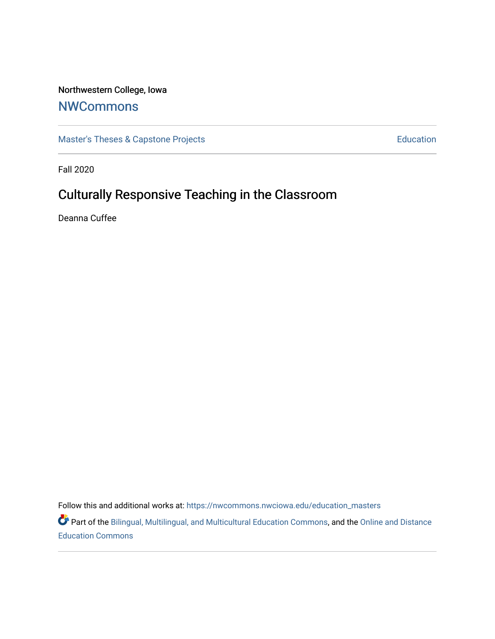## Northwestern College, Iowa

# [NWCommons](https://nwcommons.nwciowa.edu/)

[Master's Theses & Capstone Projects](https://nwcommons.nwciowa.edu/education_masters) **Education** Education

Fall 2020

# Culturally Responsive Teaching in the Classroom

Deanna Cuffee

Follow this and additional works at: [https://nwcommons.nwciowa.edu/education\\_masters](https://nwcommons.nwciowa.edu/education_masters?utm_source=nwcommons.nwciowa.edu%2Feducation_masters%2F260&utm_medium=PDF&utm_campaign=PDFCoverPages)

Part of the [Bilingual, Multilingual, and Multicultural Education Commons,](http://network.bepress.com/hgg/discipline/785?utm_source=nwcommons.nwciowa.edu%2Feducation_masters%2F260&utm_medium=PDF&utm_campaign=PDFCoverPages) and the [Online and Distance](http://network.bepress.com/hgg/discipline/1296?utm_source=nwcommons.nwciowa.edu%2Feducation_masters%2F260&utm_medium=PDF&utm_campaign=PDFCoverPages) [Education Commons](http://network.bepress.com/hgg/discipline/1296?utm_source=nwcommons.nwciowa.edu%2Feducation_masters%2F260&utm_medium=PDF&utm_campaign=PDFCoverPages)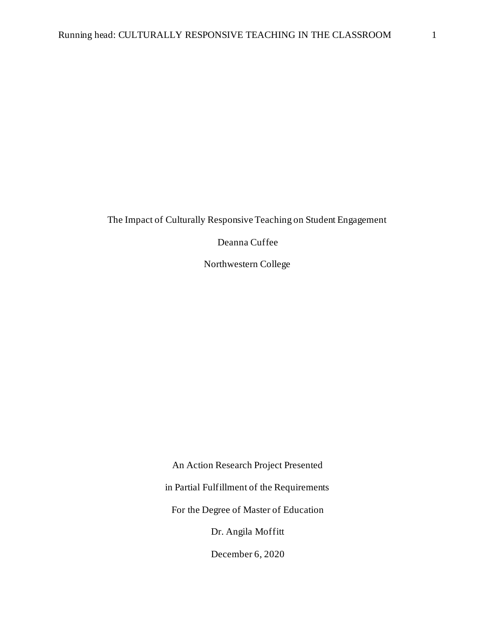The Impact of Culturally Responsive Teaching on Student Engagement

Deanna Cuffee

Northwestern College

An Action Research Project Presented in Partial Fulfillment of the Requirements For the Degree of Master of Education Dr. Angila Moffitt December 6, 2020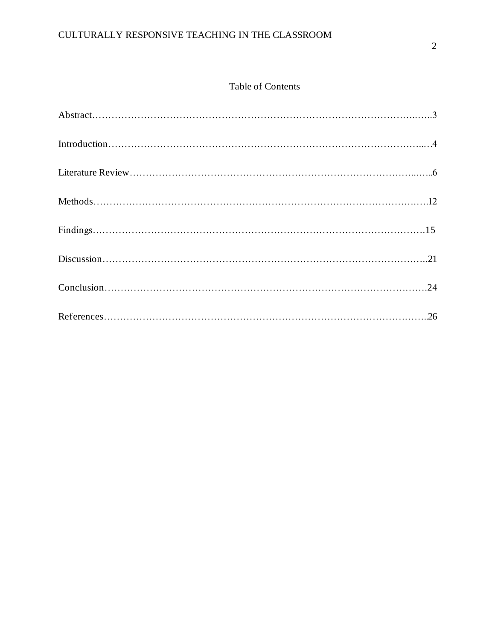## CULTURALLY RESPONSIVE TEACHING IN THE CLASSROOM

## Table of Contents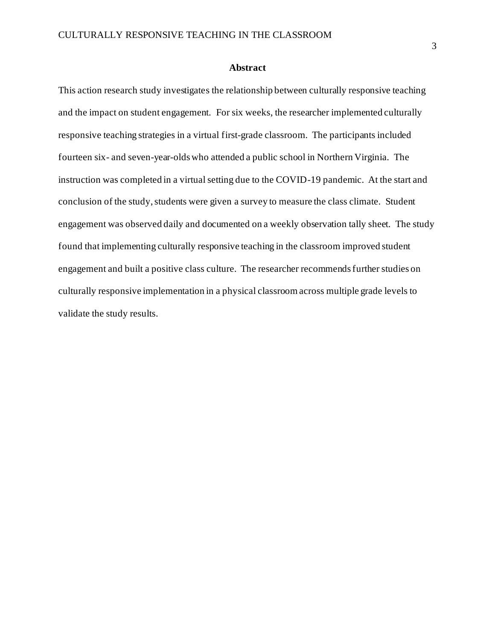### **Abstract**

This action research study investigates the relationship between culturally responsive teaching and the impact on student engagement. For six weeks, the researcher implemented culturally responsive teaching strategies in a virtual first-grade classroom. The participants included fourteen six- and seven-year-olds who attended a public school in Northern Virginia. The instruction was completed in a virtual setting due to the COVID-19 pandemic. At the start and conclusion of the study, students were given a survey to measure the class climate. Student engagement was observed daily and documented on a weekly observation tally sheet. The study found that implementing culturally responsive teaching in the classroom improved student engagement and built a positive class culture. The researcher recommends further studies on culturally responsive implementation in a physical classroom across multiple grade levels to validate the study results.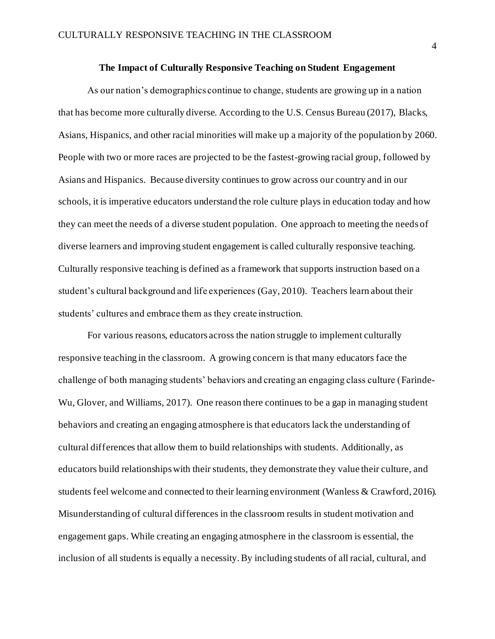#### **The Impact of Culturally Responsive Teaching on Student Engagement**

As our nation's demographics continue to change, students are growing up in a nation that has become more culturally diverse. According to the U.S. Census Bureau (2017), Blacks, Asians, Hispanics, and other racial minorities will make up a majority of the population by 2060. People with two or more races are projected to be the fastest-growing racial group, followed by Asians and Hispanics. Because diversity continues to grow across our country and in our schools, it is imperative educators understand the role culture plays in education today and how they can meet the needs of a diverse student population. One approach to meeting the needs of diverse learners and improving student engagement is called culturally responsive teaching. Culturally responsive teaching is defined as a framework that supports instruction based on a student's cultural background and life experiences (Gay, 2010). Teachers learn about their students' cultures and embrace them as they create instruction.

For various reasons, educators across the nation struggle to implement culturally responsive teaching in the classroom. A growing concern is that many educators face the challenge of both managing students' behaviors and creating an engaging class culture (Farinde-Wu, Glover, and Williams, 2017). One reason there continues to be a gap in managing student behaviors and creating an engaging atmosphere is that educators lack the understanding of cultural differences that allow them to build relationships with students. Additionally, as educators build relationships with their students, they demonstrate they value their culture, and students feel welcome and connected to their learning environment (Wanless & Crawford, 2016). Misunderstanding of cultural differences in the classroom results in student motivation and engagement gaps. While creating an engaging atmosphere in the classroom is essential, the inclusion of all students is equally a necessity. By including students of all racial, cultural, and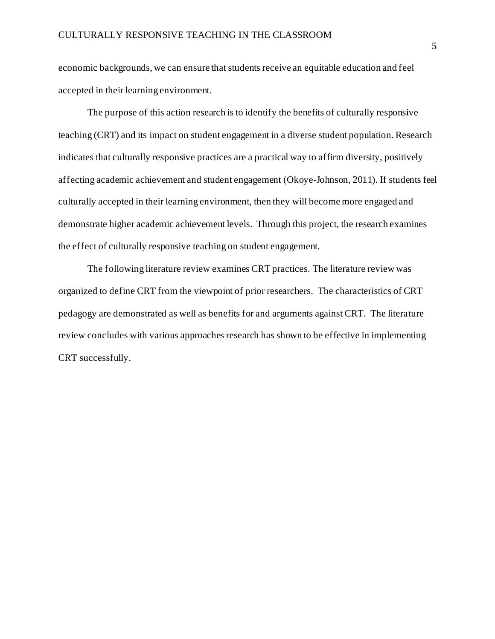economic backgrounds, we can ensure that students receive an equitable education and feel accepted in their learning environment.

The purpose of this action research is to identify the benefits of culturally responsive teaching (CRT) and its impact on student engagement in a diverse student population. Research indicates that culturally responsive practices are a practical way to affirm diversity, positively affecting academic achievement and student engagement (Okoye-Johnson, 2011). If students feel culturally accepted in their learning environment, then they will become more engaged and demonstrate higher academic achievement levels. Through this project, the research examines the effect of culturally responsive teaching on student engagement.

The following literature review examines CRT practices. The literature review was organized to define CRT from the viewpoint of prior researchers. The characteristics of CRT pedagogy are demonstrated as well as benefits for and arguments against CRT. The literature review concludes with various approaches research has shown to be effective in implementing CRT successfully.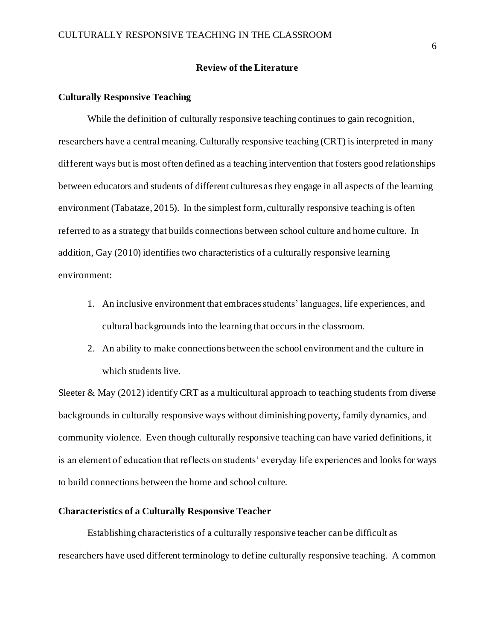### **Review of the Literature**

#### **Culturally Responsive Teaching**

While the definition of culturally responsive teaching continues to gain recognition, researchers have a central meaning. Culturally responsive teaching (CRT) is interpreted in many different ways but is most often defined as a teaching intervention that fosters good relationships between educators and students of different cultures as they engage in all aspects of the learning environment (Tabataze, 2015). In the simplest form, culturally responsive teaching is often referred to as a strategy that builds connections between school culture and home culture. In addition, Gay (2010) identifies two characteristics of a culturally responsive learning environment:

- 1. An inclusive environment that embraces students' languages, life experiences, and cultural backgrounds into the learning that occurs in the classroom.
- 2. An ability to make connections between the school environment and the culture in which students live.

Sleeter  $\&$  May (2012) identify CRT as a multicultural approach to teaching students from diverse backgrounds in culturally responsive ways without diminishing poverty, family dynamics, and community violence. Even though culturally responsive teaching can have varied definitions, it is an element of education that reflects on students' everyday life experiences and looks for ways to build connections between the home and school culture.

### **Characteristics of a Culturally Responsive Teacher**

Establishing characteristics of a culturally responsive teacher can be difficult as researchers have used different terminology to define culturally responsive teaching. A common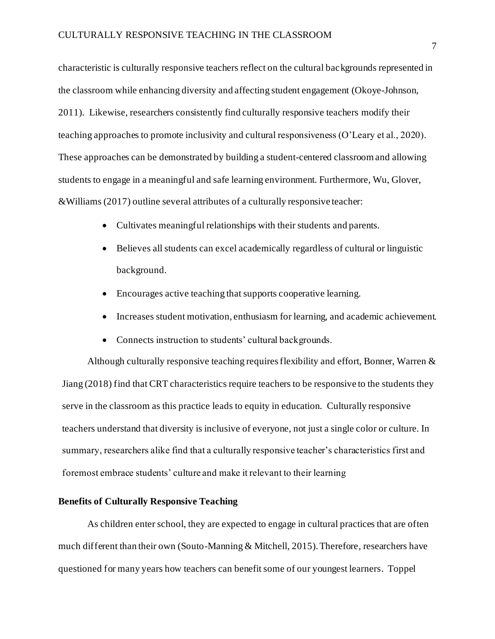characteristic is culturally responsive teachers reflect on the cultural backgrounds represented in the classroom while enhancing diversity and affecting student engagement (Okoye-Johnson, 2011). Likewise, researchers consistently find culturally responsive teachers modify their teaching approaches to promote inclusivity and cultural responsiveness (O'Leary et al., 2020). These approaches can be demonstrated by building a student-centered classroom and allowing students to engage in a meaningful and safe learning environment. Furthermore, Wu, Glover, &Williams (2017) outline several attributes of a culturally responsive teacher:

- Cultivates meaningful relationships with their students and parents.
- Believes all students can excel academically regardless of cultural or linguistic background.
- Encourages active teaching that supports cooperative learning.
- Increases student motivation, enthusiasm for learning, and academic achievement.
- Connects instruction to students' cultural backgrounds.

Although culturally responsive teaching requires flexibility and effort, Bonner, Warren  $\&$ Jiang (2018) find that CRT characteristics require teachers to be responsive to the students they serve in the classroom as this practice leads to equity in education. Culturally responsive teachers understand that diversity is inclusive of everyone, not just a single color or culture. In summary, researchers alike find that a culturally responsive teacher's characteristics first and foremost embrace students' culture and make it relevant to their learning

## **Benefits of Culturally Responsive Teaching**

As children enter school, they are expected to engage in cultural practices that are often much different than their own (Souto-Manning & Mitchell, 2015). Therefore, researchers have questioned for many years how teachers can benefit some of our youngest learners. Toppel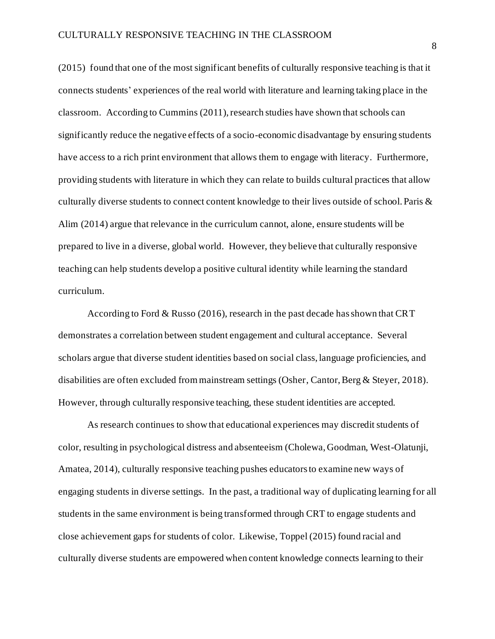(2015) found that one of the most significant benefits of culturally responsive teaching is that it connects students' experiences of the real world with literature and learning taking place in the classroom. According to Cummins (2011), research studies have shown that schools can significantly reduce the negative effects of a socio-economic disadvantage by ensuring students have access to a rich print environment that allows them to engage with literacy. Furthermore, providing students with literature in which they can relate to builds cultural practices that allow culturally diverse students to connect content knowledge to their lives outside of school. Paris & Alim (2014) argue that relevance in the curriculum cannot, alone, ensure students will be prepared to live in a diverse, global world. However, they believe that culturally responsive teaching can help students develop a positive cultural identity while learning the standard curriculum.

According to Ford & Russo (2016), research in the past decade has shown that CRT demonstrates a correlation between student engagement and cultural acceptance. Several scholars argue that diverse student identities based on social class, language proficiencies, and disabilities are often excluded from mainstream settings (Osher, Cantor, Berg & Steyer, 2018). However, through culturally responsive teaching, these student identities are accepted.

As research continues to show that educational experiences may discredit students of color, resulting in psychological distress and absenteeism (Cholewa, Goodman, West-Olatunji, Amatea, 2014), culturally responsive teaching pushes educators to examine new ways of engaging students in diverse settings. In the past, a traditional way of duplicating learning for all students in the same environment is being transformed through CRT to engage students and close achievement gaps for students of color. Likewise, Toppel (2015) found racial and culturally diverse students are empowered when content knowledge connects learning to their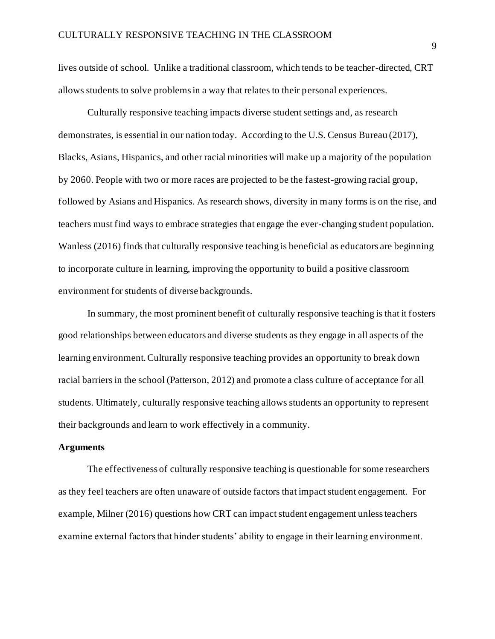lives outside of school. Unlike a traditional classroom, which tends to be teacher-directed, CRT allows students to solve problems in a way that relates to their personal experiences.

Culturally responsive teaching impacts diverse student settings and, as research demonstrates, is essential in our nation today. According to the U.S. Census Bureau (2017), Blacks, Asians, Hispanics, and other racial minorities will make up a majority of the population by 2060. People with two or more races are projected to be the fastest-growing racial group, followed by Asians and Hispanics. As research shows, diversity in many forms is on the rise, and teachers must find ways to embrace strategies that engage the ever-changing student population. Wanless (2016) finds that culturally responsive teaching is beneficial as educators are beginning to incorporate culture in learning, improving the opportunity to build a positive classroom environment for students of diverse backgrounds.

In summary, the most prominent benefit of culturally responsive teaching is that it fosters good relationships between educators and diverse students as they engage in all aspects of the learning environment. Culturally responsive teaching provides an opportunity to break down racial barriers in the school (Patterson, 2012) and promote a class culture of acceptance for all students. Ultimately, culturally responsive teaching allows students an opportunity to represent their backgrounds and learn to work effectively in a community.

#### **Arguments**

The effectiveness of culturally responsive teaching is questionable for some researchers as they feel teachers are often unaware of outside factors that impact student engagement. For example, Milner (2016) questions how CRT can impact student engagement unless teachers examine external factors that hinder students' ability to engage in their learning environment.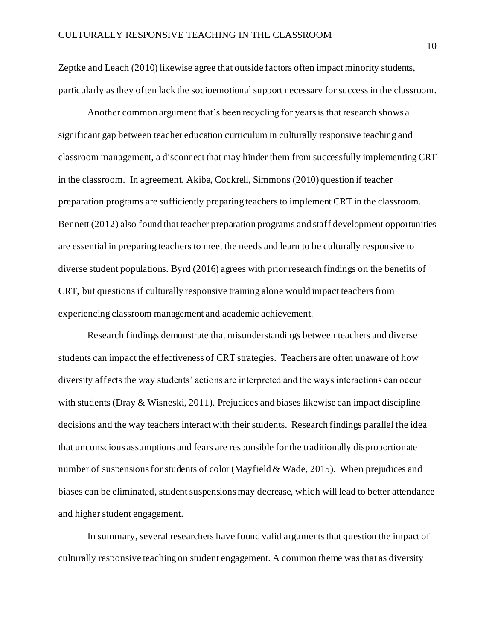Zeptke and Leach (2010) likewise agree that outside factors often impact minority students, particularly as they often lack the socioemotional support necessary for success in the classroom.

Another common argument that's been recycling for years is that research shows a significant gap between teacher education curriculum in culturally responsive teaching and classroom management, a disconnect that may hinder them from successfully implementing CRT in the classroom. In agreement, Akiba, Cockrell, Simmons (2010) question if teacher preparation programs are sufficiently preparing teachers to implement CRT in the classroom. Bennett (2012) also found that teacher preparation programs and staff development opportunities are essential in preparing teachers to meet the needs and learn to be culturally responsive to diverse student populations. Byrd (2016) agrees with prior research findings on the benefits of CRT, but questions if culturally responsive training alone would impact teachers from experiencing classroom management and academic achievement.

Research findings demonstrate that misunderstandings between teachers and diverse students can impact the effectiveness of CRT strategies. Teachers are often unaware of how diversity affects the way students' actions are interpreted and the ways interactions can occur with students (Dray & Wisneski, 2011). Prejudices and biases likewise can impact discipline decisions and the way teachers interact with their students. Research findings parallel the idea that unconscious assumptions and fears are responsible for the traditionally disproportionate number of suspensions for students of color (Mayfield & Wade, 2015). When prejudices and biases can be eliminated, student suspensions may decrease, which will lead to better attendance and higher student engagement.

In summary, several researchers have found valid arguments that question the impact of culturally responsive teaching on student engagement. A common theme was that as diversity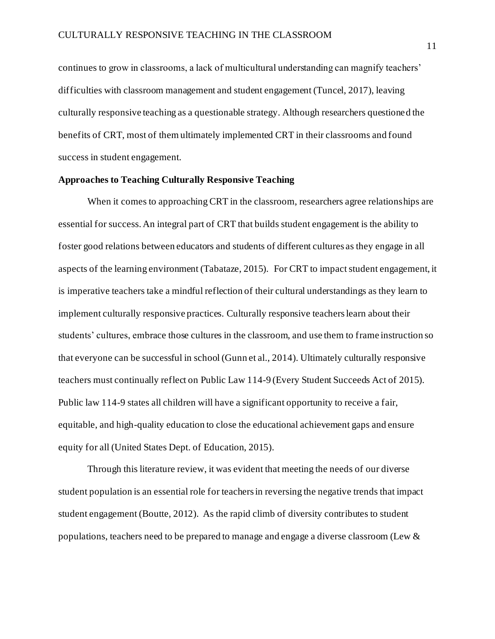continues to grow in classrooms, a lack of multicultural understanding can magnify teachers' difficulties with classroom management and student engagement (Tuncel, 2017), leaving culturally responsive teaching as a questionable strategy. Although researchers questioned the benefits of CRT, most of them ultimately implemented CRT in their classrooms and found success in student engagement.

## **Approaches to Teaching Culturally Responsive Teaching**

When it comes to approaching CRT in the classroom, researchers agree relationships are essential for success. An integral part of CRT that builds student engagement is the ability to foster good relations between educators and students of different cultures as they engage in all aspects of the learning environment (Tabataze, 2015). For CRT to impact student engagement, it is imperative teachers take a mindful reflection of their cultural understandings as they learn to implement culturally responsive practices. Culturally responsive teachers learn about their students' cultures, embrace those cultures in the classroom, and use them to frame instruction so that everyone can be successful in school (Gunn et al., 2014). Ultimately culturally responsive teachers must continually reflect on Public Law 114-9 (Every Student Succeeds Act of 2015). Public law 114-9 states all children will have a significant opportunity to receive a fair, equitable, and high-quality education to close the educational achievement gaps and ensure equity for all (United States Dept. of Education, 2015).

Through this literature review, it was evident that meeting the needs of our diverse student population is an essential role for teachers in reversing the negative trends that impact student engagement (Boutte, 2012). As the rapid climb of diversity contributes to student populations, teachers need to be prepared to manage and engage a diverse classroom (Lew &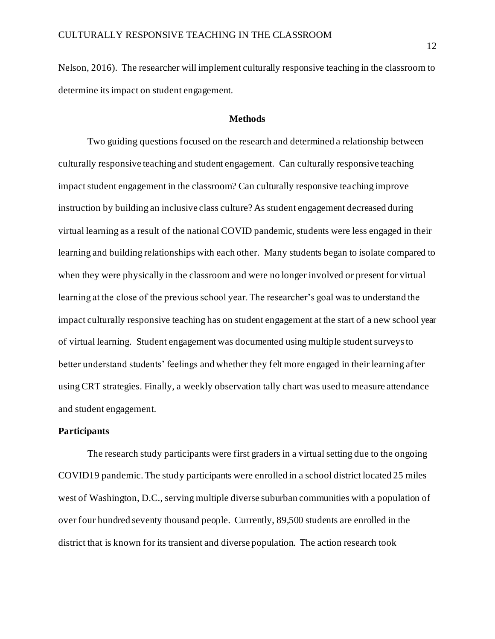Nelson, 2016). The researcher will implement culturally responsive teaching in the classroom to determine its impact on student engagement.

#### **Methods**

Two guiding questions focused on the research and determined a relationship between culturally responsive teaching and student engagement. Can culturally responsive teaching impact student engagement in the classroom? Can culturally responsive teaching improve instruction by building an inclusive class culture? As student engagement decreased during virtual learning as a result of the national COVID pandemic, students were less engaged in their learning and building relationships with each other. Many students began to isolate compared to when they were physically in the classroom and were no longer involved or present for virtual learning at the close of the previous school year. The researcher's goal was to understand the impact culturally responsive teaching has on student engagement at the start of a new school year of virtual learning. Student engagement was documented using multiple student surveys to better understand students' feelings and whether they felt more engaged in their learning after using CRT strategies. Finally, a weekly observation tally chart was used to measure attendance and student engagement.

## **Participants**

The research study participants were first graders in a virtual setting due to the ongoing COVID19 pandemic. The study participants were enrolled in a school district located 25 miles west of Washington, D.C., serving multiple diverse suburban communities with a population of over four hundred seventy thousand people. Currently, 89,500 students are enrolled in the district that is known for its transient and diverse population. The action research took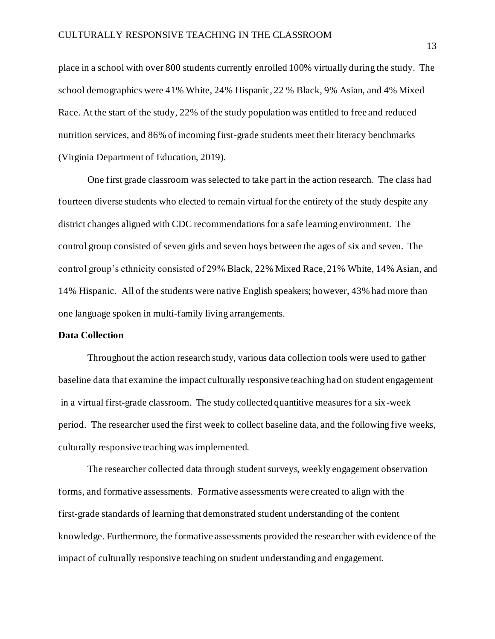place in a school with over 800 students currently enrolled 100% virtually during the study. The school demographics were 41% White, 24% Hispanic, 22 % Black, 9% Asian, and 4% Mixed Race. At the start of the study, 22% of the study population was entitled to free and reduced nutrition services, and 86% of incoming first-grade students meet their literacy benchmarks (Virginia Department of Education, 2019).

One first grade classroom was selected to take part in the action research. The class had fourteen diverse students who elected to remain virtual for the entirety of the study despite any district changes aligned with CDC recommendations for a safe learning environment. The control group consisted of seven girls and seven boys between the ages of six and seven. The control group's ethnicity consisted of 29% Black, 22% Mixed Race, 21% White, 14% Asian, and 14% Hispanic. All of the students were native English speakers; however, 43% had more than one language spoken in multi-family living arrangements.

## **Data Collection**

Throughout the action research study, various data collection tools were used to gather baseline data that examine the impact culturally responsive teaching had on student engagement in a virtual first-grade classroom. The study collected quantitive measures for a six-week period. The researcher used the first week to collect baseline data, and the following five weeks, culturally responsive teaching was implemented.

The researcher collected data through student surveys, weekly engagement observation forms, and formative assessments. Formative assessments were created to align with the first-grade standards of learning that demonstrated student understanding of the content knowledge. Furthermore, the formative assessments provided the researcher with evidence of the impact of culturally responsive teaching on student understanding and engagement.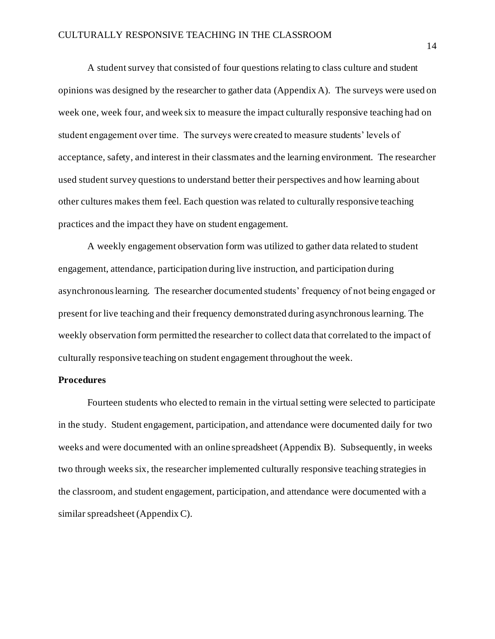A student survey that consisted of four questions relating to class culture and student opinions was designed by the researcher to gather data (Appendix A). The surveys were used on week one, week four, and week six to measure the impact culturally responsive teaching had on student engagement over time. The surveys were created to measure students' levels of acceptance, safety, and interest in their classmates and the learning environment. The researcher used student survey questions to understand better their perspectives and how learning about other cultures makes them feel. Each question was related to culturally responsive teaching practices and the impact they have on student engagement.

A weekly engagement observation form was utilized to gather data related to student engagement, attendance, participation during live instruction, and participation during asynchronous learning. The researcher documented students' frequency of not being engaged or present for live teaching and their frequency demonstrated during asynchronous learning. The weekly observation form permitted the researcher to collect data that correlated to the impact of culturally responsive teaching on student engagement throughout the week.

#### **Procedures**

Fourteen students who elected to remain in the virtual setting were selected to participate in the study. Student engagement, participation, and attendance were documented daily for two weeks and were documented with an online spreadsheet (Appendix B). Subsequently, in weeks two through weeks six, the researcher implemented culturally responsive teaching strategies in the classroom, and student engagement, participation, and attendance were documented with a similar spreadsheet (Appendix C).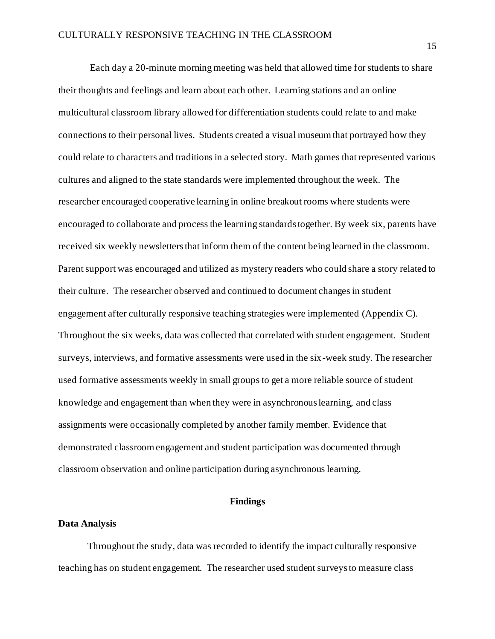Each day a 20-minute morning meeting was held that allowed time for students to share their thoughts and feelings and learn about each other. Learning stations and an online multicultural classroom library allowed for differentiation students could relate to and make connections to their personal lives. Students created a visual museum that portrayed how they could relate to characters and traditions in a selected story. Math games that represented various cultures and aligned to the state standards were implemented throughout the week. The researcher encouraged cooperative learning in online breakout rooms where students were encouraged to collaborate and process the learning standards together. By week six, parents have received six weekly newsletters that inform them of the content being learned in the classroom. Parent support was encouraged and utilized as mystery readers who could share a story related to their culture. The researcher observed and continued to document changes in student engagement after culturally responsive teaching strategies were implemented (Appendix C). Throughout the six weeks, data was collected that correlated with student engagement. Student surveys, interviews, and formative assessments were used in the six-week study. The researcher used formative assessments weekly in small groups to get a more reliable source of student knowledge and engagement than when they were in asynchronous learning, and class assignments were occasionally completed by another family member. Evidence that demonstrated classroom engagement and student participation was documented through classroom observation and online participation during asynchronous learning.

## **Findings**

#### **Data Analysis**

Throughout the study, data was recorded to identify the impact culturally responsive teaching has on student engagement. The researcher used student surveys to measure class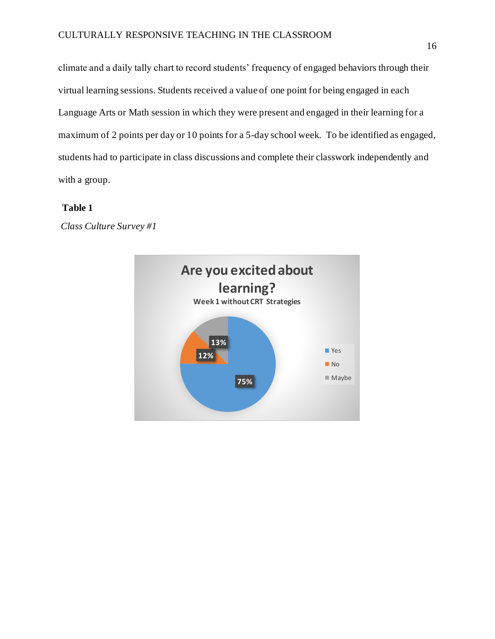climate and a daily tally chart to record students' frequency of engaged behaviors through their virtual learning sessions. Students received a value of one point for being engaged in each Language Arts or Math session in which they were present and engaged in their learning for a maximum of 2 points per day or 10 points for a 5-day school week. To be identified as engaged, students had to participate in class discussions and complete their classwork independently and with a group.

## **Table 1**

*Class Culture Survey #1*

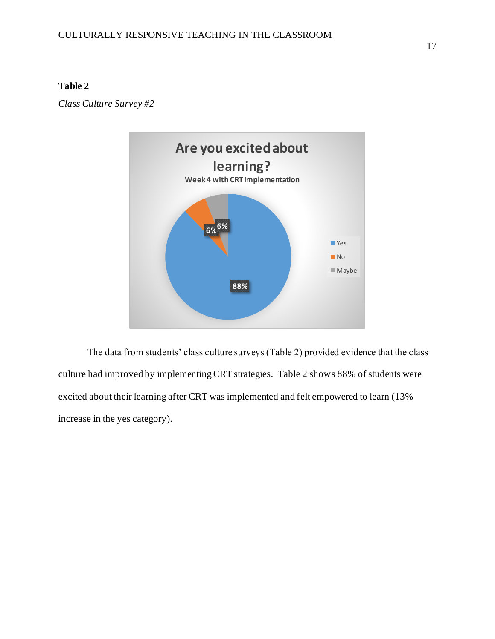## **Table 2**

*Class Culture Survey #2*



The data from students' class culture surveys (Table 2) provided evidence that the class culture had improved by implementing CRT strategies. Table 2 shows 88% of students were excited about their learning after CRT was implemented and felt empowered to learn (13% increase in the yes category).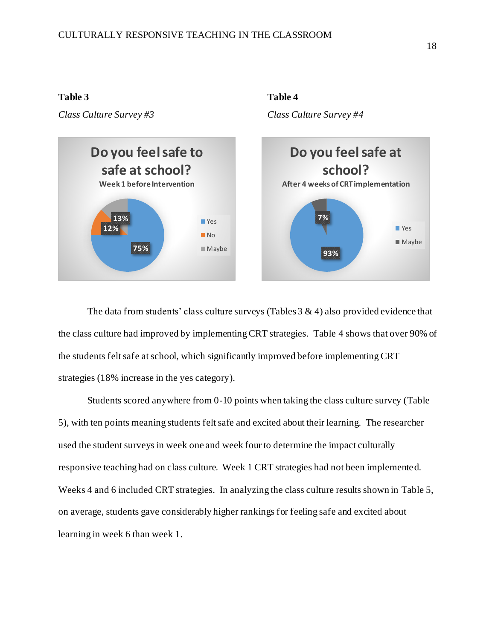#### **Table 3** Table 4

*Class Culture Survey #3 Class Culture Survey #4*



The data from students' class culture surveys (Tables  $3 \& 4$ ) also provided evidence that the class culture had improved by implementing CRT strategies. Table 4 shows that over 90% of the students felt safe at school, which significantly improved before implementing CRT strategies (18% increase in the yes category).

Students scored anywhere from 0-10 points when taking the class culture survey (Table 5), with ten points meaning students felt safe and excited about their learning. The researcher used the student surveys in week one and week four to determine the impact culturally responsive teaching had on class culture. Week 1 CRT strategies had not been implemented. Weeks 4 and 6 included CRT strategies. In analyzing the class culture results shown in Table 5, on average, students gave considerably higher rankings for feeling safe and excited about learning in week 6 than week 1.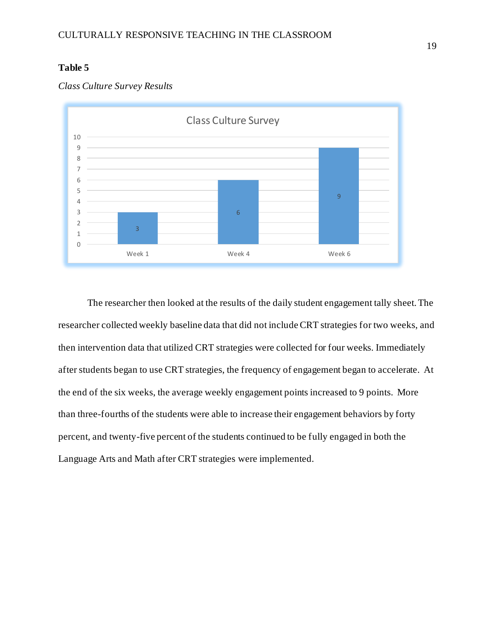## **Table 5**



## *Class Culture Survey Results*

The researcher then looked at the results of the daily student engagement tally sheet. The researcher collected weekly baseline data that did not include CRT strategies for two weeks, and then intervention data that utilized CRT strategies were collected for four weeks. Immediately after students began to use CRT strategies, the frequency of engagement began to accelerate. At the end of the six weeks, the average weekly engagement points increased to 9 points. More than three-fourths of the students were able to increase their engagement behaviors by forty percent, and twenty-five percent of the students continued to be fully engaged in both the Language Arts and Math after CRT strategies were implemented.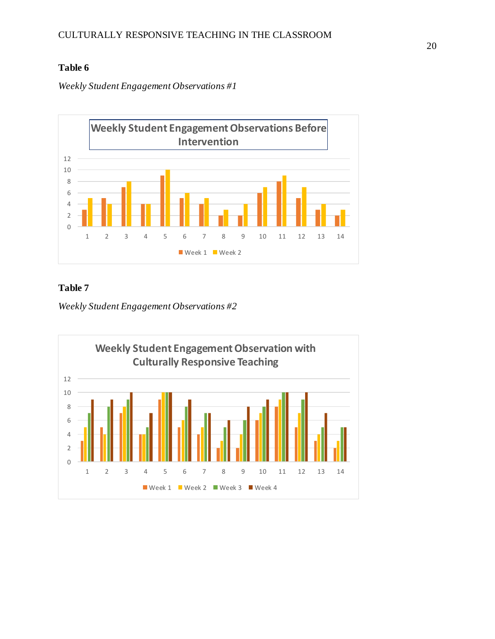## **Table 6**

*Weekly Student Engagement Observations #1*



## **Table 7**

*Weekly Student Engagement Observations #2*

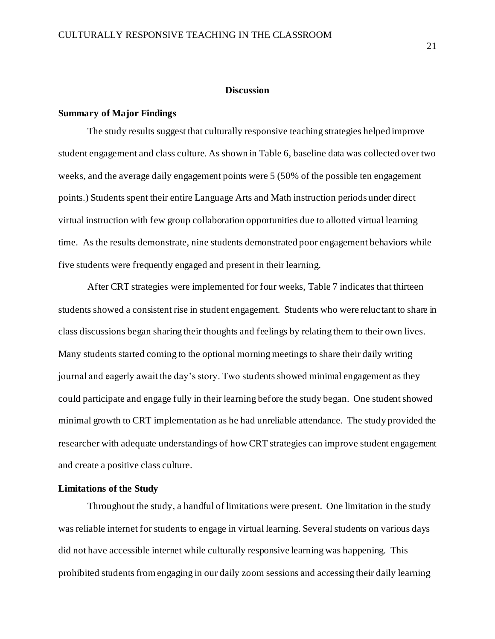### **Discussion**

#### **Summary of Major Findings**

The study results suggest that culturally responsive teaching strategies helped improve student engagement and class culture. As shown in Table 6, baseline data was collected over two weeks, and the average daily engagement points were 5 (50% of the possible ten engagement points.) Students spent their entire Language Arts and Math instruction periods under direct virtual instruction with few group collaboration opportunities due to allotted virtual learning time. As the results demonstrate, nine students demonstrated poor engagement behaviors while five students were frequently engaged and present in their learning.

After CRT strategies were implemented for four weeks, Table 7 indicates that thirteen students showed a consistent rise in student engagement. Students who were reluctant to share in class discussions began sharing their thoughts and feelings by relating them to their own lives. Many students started coming to the optional morning meetings to share their daily writing journal and eagerly await the day's story. Two students showed minimal engagement as they could participate and engage fully in their learning before the study began. One student showed minimal growth to CRT implementation as he had unreliable attendance. The study provided the researcher with adequate understandings of how CRT strategies can improve student engagement and create a positive class culture.

## **Limitations of the Study**

Throughout the study, a handful of limitations were present. One limitation in the study was reliable internet for students to engage in virtual learning. Several students on various days did not have accessible internet while culturally responsive learning was happening. This prohibited students from engaging in our daily zoom sessions and accessing their daily learning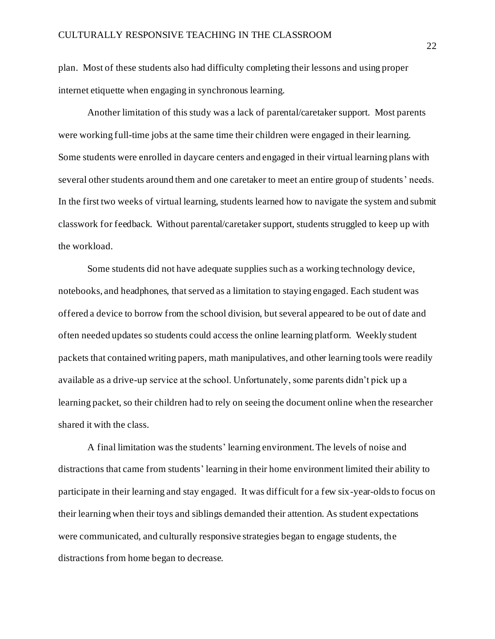plan. Most of these students also had difficulty completing their lessons and using proper internet etiquette when engaging in synchronous learning.

Another limitation of this study was a lack of parental/caretaker support. Most parents were working full-time jobs at the same time their children were engaged in their learning. Some students were enrolled in daycare centers and engaged in their virtual learning plans with several other students around them and one caretaker to meet an entire group of students' needs. In the first two weeks of virtual learning, students learned how to navigate the system and submit classwork for feedback. Without parental/caretaker support, students struggled to keep up with the workload.

Some students did not have adequate supplies such as a working technology device, notebooks, and headphones, that served as a limitation to staying engaged. Each student was offered a device to borrow from the school division, but several appeared to be out of date and often needed updates so students could access the online learning platform. Weekly student packets that contained writing papers, math manipulatives, and other learning tools were readily available as a drive-up service at the school. Unfortunately, some parents didn't pick up a learning packet, so their children had to rely on seeing the document online when the researcher shared it with the class.

A final limitation was the students' learning environment. The levels of noise and distractions that came from students' learning in their home environment limited their ability to participate in their learning and stay engaged. It was difficult for a few six-year-olds to focus on their learning when their toys and siblings demanded their attention. As student expectations were communicated, and culturally responsive strategies began to engage students, the distractions from home began to decrease.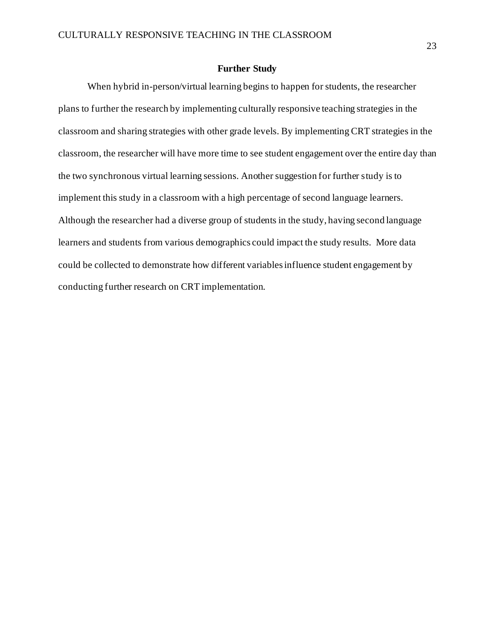## **Further Study**

When hybrid in-person/virtual learning begins to happen for students, the researcher plans to further the research by implementing culturally responsive teaching strategies in the classroom and sharing strategies with other grade levels. By implementing CRT strategies in the classroom, the researcher will have more time to see student engagement over the entire day than the two synchronous virtual learning sessions. Another suggestion for further study is to implement this study in a classroom with a high percentage of second language learners. Although the researcher had a diverse group of students in the study, having second language learners and students from various demographics could impact the study results. More data could be collected to demonstrate how different variables influence student engagement by conducting further research on CRT implementation.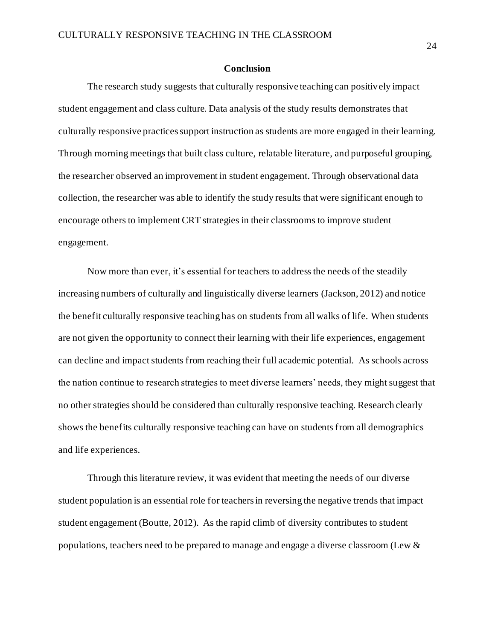### **Conclusion**

The research study suggests that culturally responsive teaching can positively impact student engagement and class culture. Data analysis of the study results demonstrates that culturally responsive practices support instruction as students are more engaged in their learning. Through morning meetings that built class culture, relatable literature, and purposeful grouping, the researcher observed an improvement in student engagement. Through observational data collection, the researcher was able to identify the study results that were significant enough to encourage others to implement CRT strategies in their classrooms to improve student engagement.

Now more than ever, it's essential for teachers to address the needs of the steadily increasing numbers of culturally and linguistically diverse learners (Jackson, 2012) and notice the benefit culturally responsive teaching has on students from all walks of life. When students are not given the opportunity to connect their learning with their life experiences, engagement can decline and impact students from reaching their full academic potential. As schools across the nation continue to research strategies to meet diverse learners' needs, they might suggest that no other strategies should be considered than culturally responsive teaching. Research clearly shows the benefits culturally responsive teaching can have on students from all demographics and life experiences.

Through this literature review, it was evident that meeting the needs of our diverse student population is an essential role for teachers in reversing the negative trends that impact student engagement (Boutte, 2012). As the rapid climb of diversity contributes to student populations, teachers need to be prepared to manage and engage a diverse classroom (Lew &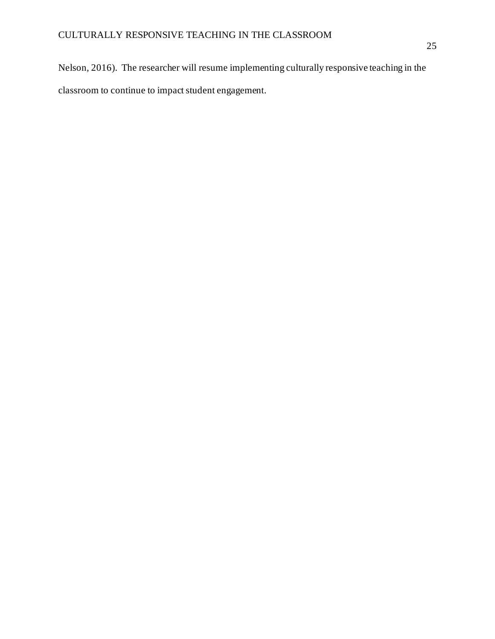Nelson, 2016). The researcher will resume implementing culturally responsive teaching in the classroom to continue to impact student engagement.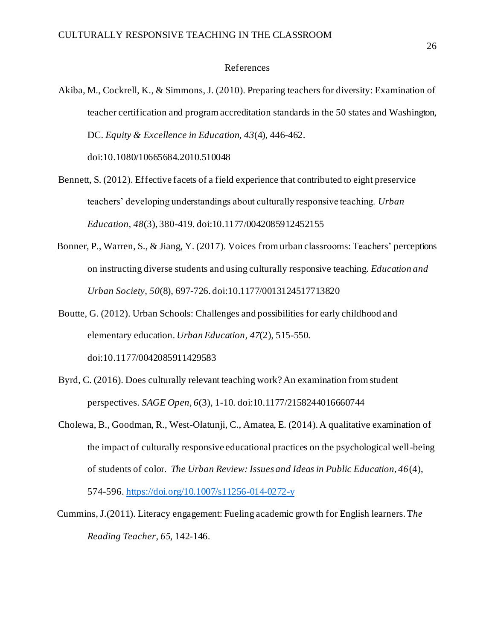#### References

Akiba, M., Cockrell, K., & Simmons, J. (2010). Preparing teachers for diversity: Examination of teacher certification and program accreditation standards in the 50 states and Washington, DC. *Equity & Excellence in Education, 43*(4), 446-462.

doi:10.1080/10665684.2010.510048

- Bennett, S. (2012). Effective facets of a field experience that contributed to eight preservice teachers' developing understandings about culturally responsive teaching. *Urban Education, 48*(3), 380-419. doi:10.1177/0042085912452155
- Bonner, P., Warren, S., & Jiang, Y. (2017). Voices from urban classrooms: Teachers' perceptions on instructing diverse students and using culturally responsive teaching. *Education and Urban Society, 50*(8), 697-726. doi:10.1177/0013124517713820
- Boutte, G. (2012). Urban Schools: Challenges and possibilities for early childhood and elementary education. *Urban Education, 47*(2), 515-550.

doi:10.1177/0042085911429583

- Byrd, C. (2016). Does culturally relevant teaching work? An examination from student perspectives. *SAGE Open, 6*(3), 1-10. doi:10.1177/2158244016660744
- Cholewa, B., Goodman, R., West-Olatunji, C., Amatea, E. (2014). A qualitative examination of the impact of culturally responsive educational practices on the psychological well-being of students of color. *The Urban Review: Issues and Ideas in Public Education, 46*(4), 574-596[. https://doi.org/10.1007/s11256-014-0272-y](https://doi.org/10.1007/s11256-014-0272-y)
- Cummins, J.(2011). Literacy engagement: Fueling academic growth for English learners. T*he Reading Teacher*, *65*, 142-146.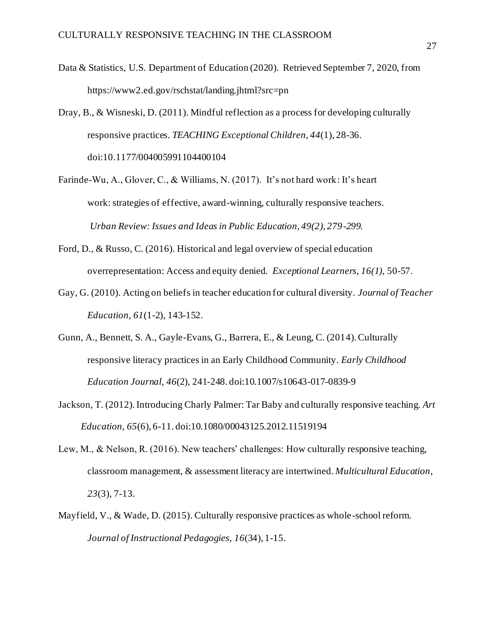- Data & Statistics, U.S. Department of Education (2020). Retrieved September 7, 2020, from https://www2.ed.gov/rschstat/landing.jhtml?src=pn
- Dray, B., & Wisneski, D. (2011). Mindful reflection as a process for developing culturally responsive practices. *TEACHING Exceptional Children, 44*(1), 28-36. doi:10.1177/004005991104400104
- Farinde-Wu, A., Glover, C., & Williams, N. (2017). It's not hard work: It's heart work: strategies of effective, award-winning, culturally responsive teachers. *Urban Review: Issues and Ideas in Public Education, 49(2), 279-299.*
- Ford, D., & Russo, C. (2016). Historical and legal overview of special education overrepresentation: Access and equity denied. *Exceptional Learners, 16(1),* 50-57.
- Gay, G. (2010). Acting on beliefs in teacher education for cultural diversity. *Journal of Teacher Education, 61*(1-2), 143-152.
- Gunn, A., Bennett, S. A., Gayle-Evans, G., Barrera, E., & Leung, C. (2014). Culturally responsive literacy practices in an Early Childhood Community. *Early Childhood Education Journal, 46*(2), 241-248. doi:10.1007/s10643-017-0839-9
- Jackson, T. (2012). Introducing Charly Palmer: Tar Baby and culturally responsive teaching. *Art Education, 65*(6), 6-11. doi:10.1080/00043125.2012.11519194
- Lew, M., & Nelson, R. (2016). New teachers' challenges: How culturally responsive teaching, classroom management, & assessment literacy are intertwined. *Multicultural Education*, *23*(3), 7-13.
- Mayfield, V., & Wade, D. (2015). Culturally responsive practices as whole-school reform. *Journal of Instructional Pedagogies, 16*(34), 1-15.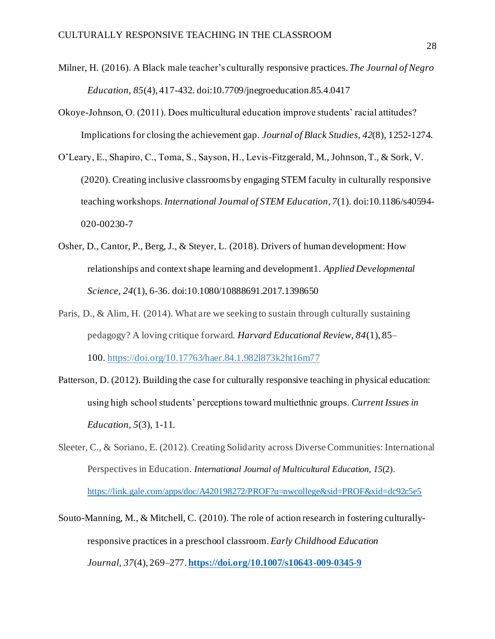- Milner, H. (2016). A Black male teacher's culturally responsive practices. *The Journal of Negro Education, 85*(4), 417-432. doi:10.7709/jnegroeducation.85.4.0417
- Okoye-Johnson, O. (2011). Does multicultural education improve students' racial attitudes? Implications for closing the achievement gap. *Journal of Black Studies, 42*(8), 1252-1274.
- O'Leary, E., Shapiro, C., Toma, S., Sayson, H., Levis-Fitzgerald, M., Johnson, T., & Sork, V. (2020). Creating inclusive classrooms by engaging STEM faculty in culturally responsive teaching workshops. *International Journal of STEM Education, 7*(1). doi:10.1186/s40594- 020-00230-7
- Osher, D., Cantor, P., Berg, J., & Steyer, L. (2018). Drivers of human development: How relationships and context shape learning and development1. *Applied Developmental Science, 24*(1), 6-36. doi:10.1080/10888691.2017.1398650
- Paris, D., & Alim, H. (2014). What are we seeking to sustain through culturally sustaining pedagogy? A loving critique forward. *Harvard Educational Review, 84*(1), 85– 100. [https://doi.org/10.17763/haer.84.1.982l873k2ht16m77](https://psycnet.apa.org/doi/10.17763/haer.84.1.982l873k2ht16m77)
- Patterson, D. (2012). Building the case for culturally responsive teaching in physical education: using high school students' perceptions toward multiethnic groups. *Current Issues in Education, 5*(3), 1-11.
- Sleeter, C., & Soriano, E. (2012). Creating Solidarity across Diverse Communities: International Perspectives in Education. *International Journal of Multicultural Education, 15*(2). <https://link.gale.com/apps/doc/A420198272/PROF?u=nwcollege&sid=PROF&xid=dc92c5e5>
- Souto-Manning, M., & Mitchell, C. (2010). The role of action research in fostering culturallyresponsive practices in a preschool classroom. *Early Childhood Education Journal*, *37*(4), 269–277. **<https://doi.org/10.1007/s10643-009-0345-9>**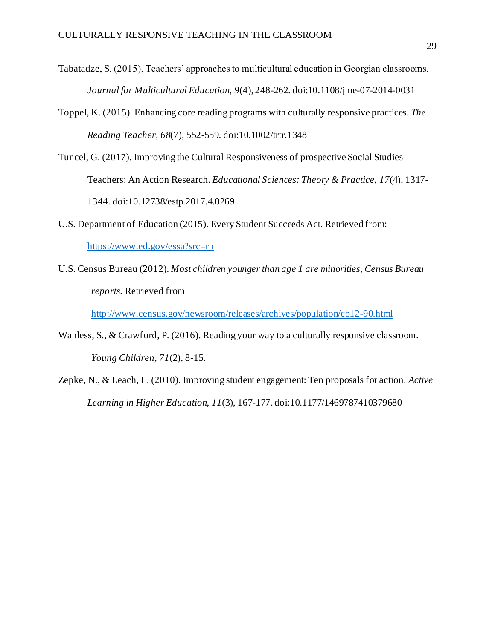- Tabatadze, S. (2015). Teachers' approaches to multicultural education in Georgian classrooms. *Journal for Multicultural Education, 9*(4), 248-262. doi:10.1108/jme-07-2014-0031
- Toppel, K. (2015). Enhancing core reading programs with culturally responsive practices. *The Reading Teacher, 68*(7), 552-559. doi:10.1002/trtr.1348
- Tuncel, G. (2017). Improving the Cultural Responsiveness of prospective Social Studies Teachers: An Action Research. *Educational Sciences: Theory & Practice, 17*(4), 1317- 1344. doi:10.12738/estp.2017.4.0269
- U.S. Department of Education (2015). Every Student Succeeds Act. Retrieved from: <https://www.ed.gov/essa?src=rn>
- U.S. Census Bureau (2012). *Most children younger than age 1 are minorities, Census Bureau reports.* Retrieved from

<http://www.census.gov/newsroom/releases/archives/population/cb12-90.html>

- Wanless, S., & Crawford, P. (2016). Reading your way to a culturally responsive classroom. *Young Children, 71*(2), 8-15.
- Zepke, N., & Leach, L. (2010). Improving student engagement: Ten proposals for action. *Active Learning in Higher Education, 11*(3), 167-177. doi:10.1177/1469787410379680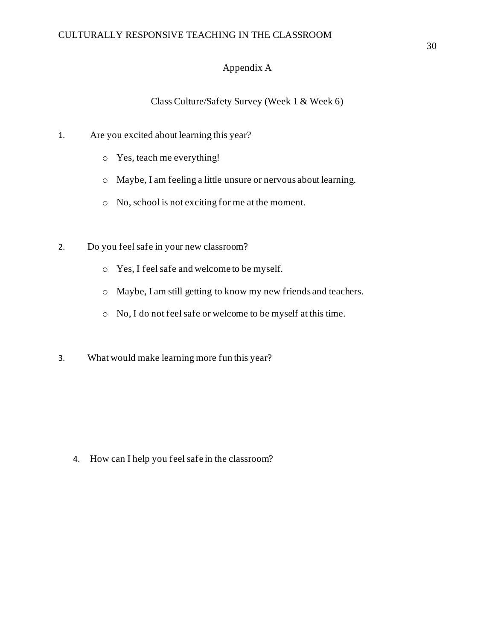## Appendix A

Class Culture/Safety Survey (Week 1 & Week 6)

- 1. Are you excited about learning this year?
	- o Yes, teach me everything!
	- o Maybe, I am feeling a little unsure or nervous about learning.
	- o No, school is not exciting for me at the moment.
- 2. Do you feel safe in your new classroom?
	- o Yes, I feel safe and welcome to be myself.
	- o Maybe, I am still getting to know my new friends and teachers.
	- o No, I do not feel safe or welcome to be myself at this time.
- 3. What would make learning more fun this year?

4. How can I help you feel safe in the classroom?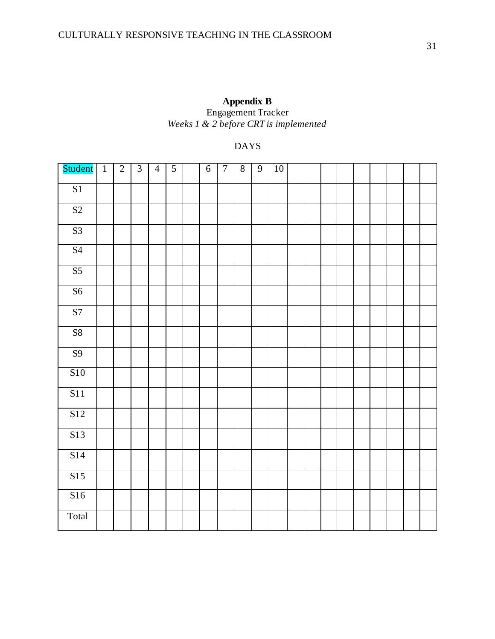| Appendix B                            |
|---------------------------------------|
| <b>Engagement Tracker</b>             |
| Weeks 1 & 2 before CRT is implemented |

## DAYS

| Student          | $\overline{1}$ | $\sqrt{2}$ | $\overline{3}$ | $\overline{4}$ | $\mathfrak{S}$ | $\sqrt{6}$ | $\boldsymbol{7}$ | $8\,$ | $\mathbf{9}$ | 10 |  |  |  |  |  |
|------------------|----------------|------------|----------------|----------------|----------------|------------|------------------|-------|--------------|----|--|--|--|--|--|
| $\overline{S1}$  |                |            |                |                |                |            |                  |       |              |    |  |  |  |  |  |
| $\overline{S2}$  |                |            |                |                |                |            |                  |       |              |    |  |  |  |  |  |
| S3               |                |            |                |                |                |            |                  |       |              |    |  |  |  |  |  |
| S <sub>4</sub>   |                |            |                |                |                |            |                  |       |              |    |  |  |  |  |  |
| S <sub>5</sub>   |                |            |                |                |                |            |                  |       |              |    |  |  |  |  |  |
| S <sub>6</sub>   |                |            |                |                |                |            |                  |       |              |    |  |  |  |  |  |
| $\overline{S7}$  |                |            |                |                |                |            |                  |       |              |    |  |  |  |  |  |
| S8               |                |            |                |                |                |            |                  |       |              |    |  |  |  |  |  |
| $\overline{S9}$  |                |            |                |                |                |            |                  |       |              |    |  |  |  |  |  |
| <b>S10</b>       |                |            |                |                |                |            |                  |       |              |    |  |  |  |  |  |
| S11              |                |            |                |                |                |            |                  |       |              |    |  |  |  |  |  |
| $\overline{S12}$ |                |            |                |                |                |            |                  |       |              |    |  |  |  |  |  |
| S13              |                |            |                |                |                |            |                  |       |              |    |  |  |  |  |  |
| S14              |                |            |                |                |                |            |                  |       |              |    |  |  |  |  |  |
| S15              |                |            |                |                |                |            |                  |       |              |    |  |  |  |  |  |
| S16              |                |            |                |                |                |            |                  |       |              |    |  |  |  |  |  |
| Total            |                |            |                |                |                |            |                  |       |              |    |  |  |  |  |  |